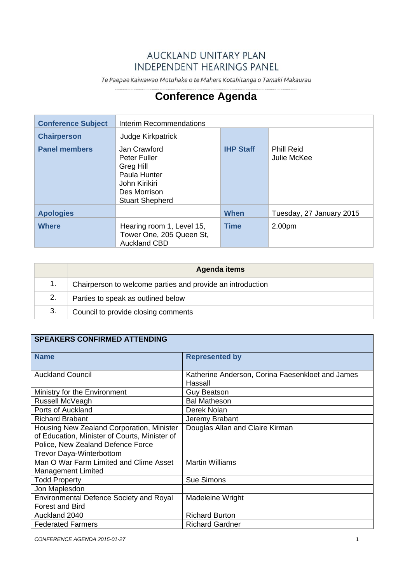## **AUCKLAND UNITARY PLAN INDEPENDENT HEARINGS PANEL**

Te Paepae Kaiwawao Motuhake o te Mahere Kotahitanga o Tāmaki Makaurau

## **Conference Agenda**

| <b>Conference Subject</b> | Interim Recommendations                                                                                              |                  |                                  |
|---------------------------|----------------------------------------------------------------------------------------------------------------------|------------------|----------------------------------|
| <b>Chairperson</b>        | Judge Kirkpatrick                                                                                                    |                  |                                  |
| <b>Panel members</b>      | Jan Crawford<br>Peter Fuller<br>Greg Hill<br>Paula Hunter<br>John Kirikiri<br>Des Morrison<br><b>Stuart Shepherd</b> | <b>IHP Staff</b> | <b>Phill Reid</b><br>Julie McKee |
| <b>Apologies</b>          |                                                                                                                      | When             | Tuesday, 27 January 2015         |
| <b>Where</b>              | Hearing room 1, Level 15,<br>Tower One, 205 Queen St,<br><b>Auckland CBD</b>                                         | <b>Time</b>      | 2.00pm                           |

|    | Agenda items                                               |
|----|------------------------------------------------------------|
|    | Chairperson to welcome parties and provide an introduction |
| 2. | Parties to speak as outlined below                         |
| 3. | Council to provide closing comments                        |

## **SPEAKERS CONFIRMED ATTENDING**

| <b>Name</b>                                    | <b>Represented by</b>                            |  |  |  |
|------------------------------------------------|--------------------------------------------------|--|--|--|
|                                                |                                                  |  |  |  |
| <b>Auckland Council</b>                        | Katherine Anderson, Corina Faesenkloet and James |  |  |  |
|                                                | Hassall                                          |  |  |  |
| Ministry for the Environment                   | <b>Guy Beatson</b>                               |  |  |  |
| Russell McVeagh                                | <b>Bal Matheson</b>                              |  |  |  |
| Ports of Auckland                              | Derek Nolan                                      |  |  |  |
| <b>Richard Brabant</b>                         | Jeremy Brabant                                   |  |  |  |
| Housing New Zealand Corporation, Minister      | Douglas Allan and Claire Kirman                  |  |  |  |
| of Education, Minister of Courts, Minister of  |                                                  |  |  |  |
| Police, New Zealand Defence Force              |                                                  |  |  |  |
| Trevor Daya-Winterbottom                       |                                                  |  |  |  |
| Man O War Farm Limited and Clime Asset         | <b>Martin Williams</b>                           |  |  |  |
| <b>Management Limited</b>                      |                                                  |  |  |  |
| <b>Todd Property</b>                           | Sue Simons                                       |  |  |  |
| Jon Maplesdon                                  |                                                  |  |  |  |
| <b>Environmental Defence Society and Royal</b> | Madeleine Wright                                 |  |  |  |
| <b>Forest and Bird</b>                         |                                                  |  |  |  |
| Auckland 2040                                  | <b>Richard Burton</b>                            |  |  |  |
| <b>Federated Farmers</b>                       | <b>Richard Gardner</b>                           |  |  |  |